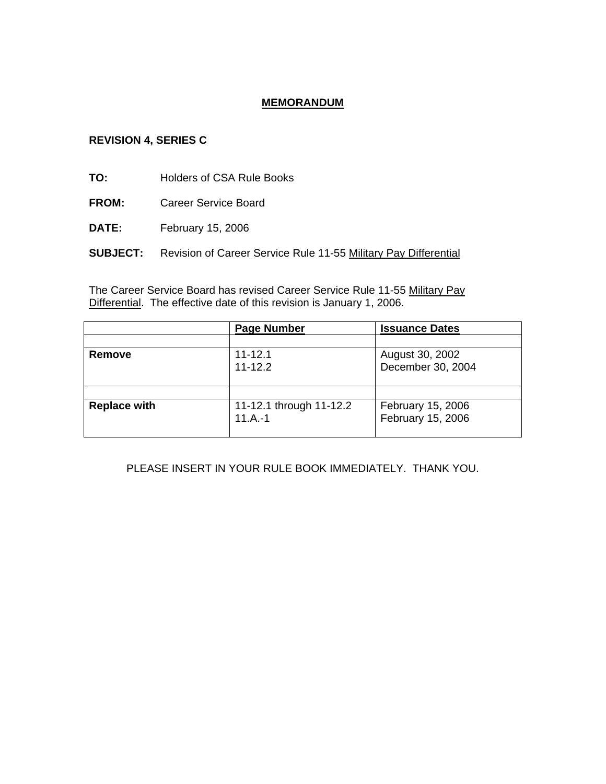# **MEMORANDUM**

### **REVISION 4, SERIES C**

**TO:** Holders of CSA Rule Books

- **FROM:** Career Service Board
- **DATE:** February 15, 2006
- **SUBJECT:** Revision of Career Service Rule 11-55 Military Pay Differential

The Career Service Board has revised Career Service Rule 11-55 Military Pay Differential. The effective date of this revision is January 1, 2006.

|                     | <b>Page Number</b>      | <b>Issuance Dates</b> |
|---------------------|-------------------------|-----------------------|
|                     |                         |                       |
| Remove              | $11 - 12.1$             | August 30, 2002       |
|                     | $11 - 12.2$             | December 30, 2004     |
|                     |                         |                       |
|                     |                         |                       |
| <b>Replace with</b> | 11-12.1 through 11-12.2 | February 15, 2006     |
|                     | $11.A.-1$               | February 15, 2006     |
|                     |                         |                       |

## PLEASE INSERT IN YOUR RULE BOOK IMMEDIATELY. THANK YOU.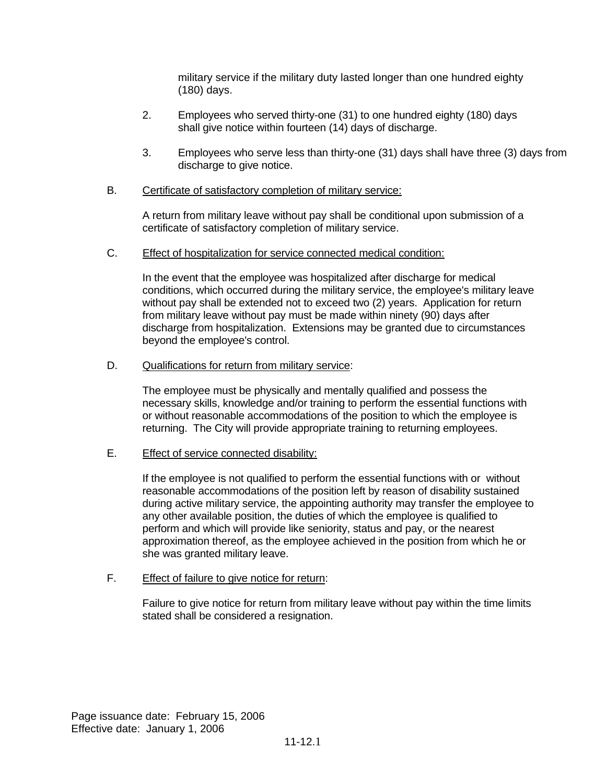military service if the military duty lasted longer than one hundred eighty (180) days.

- 2. Employees who served thirty-one (31) to one hundred eighty (180) days shall give notice within fourteen (14) days of discharge.
- 3. Employees who serve less than thirty-one (31) days shall have three (3) days from discharge to give notice.

### B. Certificate of satisfactory completion of military service:

A return from military leave without pay shall be conditional upon submission of a certificate of satisfactory completion of military service.

C. Effect of hospitalization for service connected medical condition:

In the event that the employee was hospitalized after discharge for medical conditions, which occurred during the military service, the employee's military leave without pay shall be extended not to exceed two (2) years. Application for return from military leave without pay must be made within ninety (90) days after discharge from hospitalization. Extensions may be granted due to circumstances beyond the employee's control.

D. Qualifications for return from military service:

The employee must be physically and mentally qualified and possess the necessary skills, knowledge and/or training to perform the essential functions with or without reasonable accommodations of the position to which the employee is returning. The City will provide appropriate training to returning employees.

E. Effect of service connected disability:

If the employee is not qualified to perform the essential functions with or without reasonable accommodations of the position left by reason of disability sustained during active military service, the appointing authority may transfer the employee to any other available position, the duties of which the employee is qualified to perform and which will provide like seniority, status and pay, or the nearest approximation thereof, as the employee achieved in the position from which he or she was granted military leave.

F. Effect of failure to give notice for return:

Failure to give notice for return from military leave without pay within the time limits stated shall be considered a resignation.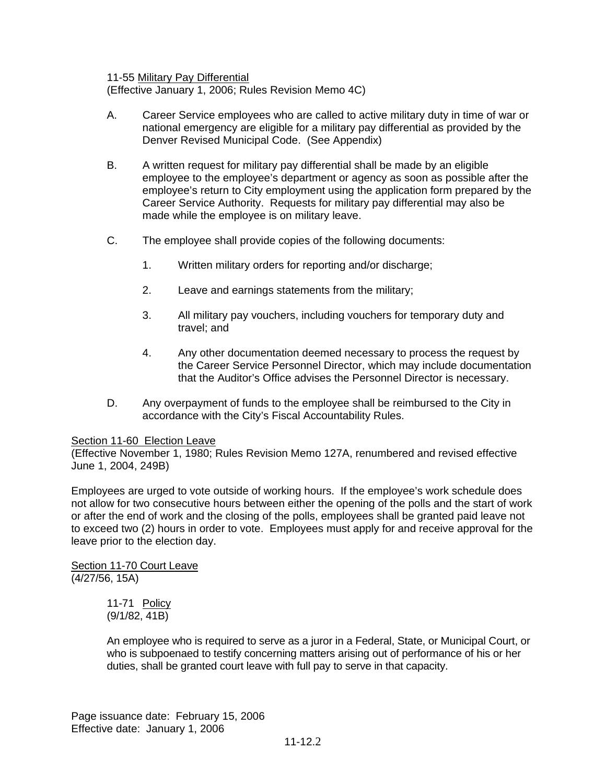11-55 Military Pay Differential

(Effective January 1, 2006; Rules Revision Memo 4C)

- A. Career Service employees who are called to active military duty in time of war or national emergency are eligible for a military pay differential as provided by the Denver Revised Municipal Code. (See Appendix)
- B. A written request for military pay differential shall be made by an eligible employee to the employee's department or agency as soon as possible after the employee's return to City employment using the application form prepared by the Career Service Authority. Requests for military pay differential may also be made while the employee is on military leave.
- C. The employee shall provide copies of the following documents:
	- 1. Written military orders for reporting and/or discharge;
	- 2. Leave and earnings statements from the military;
	- 3. All military pay vouchers, including vouchers for temporary duty and travel; and
	- 4. Any other documentation deemed necessary to process the request by the Career Service Personnel Director, which may include documentation that the Auditor's Office advises the Personnel Director is necessary.
- D. Any overpayment of funds to the employee shall be reimbursed to the City in accordance with the City's Fiscal Accountability Rules.

#### Section 11-60 Election Leave

(Effective November 1, 1980; Rules Revision Memo 127A, renumbered and revised effective June 1, 2004, 249B)

Employees are urged to vote outside of working hours. If the employee's work schedule does not allow for two consecutive hours between either the opening of the polls and the start of work or after the end of work and the closing of the polls, employees shall be granted paid leave not to exceed two (2) hours in order to vote. Employees must apply for and receive approval for the leave prior to the election day.

Section 11-70 Court Leave (4/27/56, 15A)

> 11-71 Policy (9/1/82, 41B)

An employee who is required to serve as a juror in a Federal, State, or Municipal Court, or who is subpoenaed to testify concerning matters arising out of performance of his or her duties, shall be granted court leave with full pay to serve in that capacity.

Page issuance date: February 15, 2006 Effective date: January 1, 2006